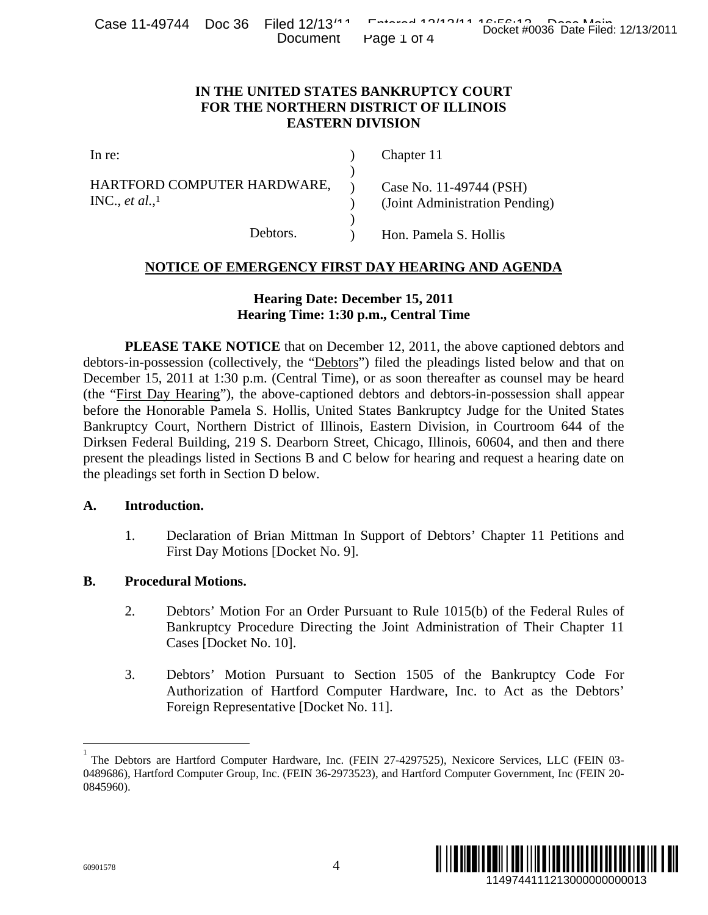| Case 11-49744 Doc 36 Filed 12/13 <sup>14</sup> |  | Document Page 1 of 4 | Fatarad AOIAOIAA AC.EC.AO Desa Main | Docket #0036 Date Filed: 12/13/2011 |  |
|------------------------------------------------|--|----------------------|-------------------------------------|-------------------------------------|--|
|                                                |  |                      |                                     |                                     |  |

### **IN THE UNITED STATES BANKRUPTCY COURT FOR THE NORTHERN DISTRICT OF ILLINOIS EASTERN DIVISION**

| In re:                                            | Chapter 11                                                |
|---------------------------------------------------|-----------------------------------------------------------|
| HARTFORD COMPUTER HARDWARE,<br>INC., et al., $^1$ | Case No. 11-49744 (PSH)<br>(Joint Administration Pending) |
| Debtors.                                          | Hon. Pamela S. Hollis                                     |

#### **NOTICE OF EMERGENCY FIRST DAY HEARING AND AGENDA**

# **Hearing Date: December 15, 2011 Hearing Time: 1:30 p.m., Central Time**

 **PLEASE TAKE NOTICE** that on December 12, 2011, the above captioned debtors and debtors-in-possession (collectively, the "Debtors") filed the pleadings listed below and that on December 15, 2011 at 1:30 p.m. (Central Time), or as soon thereafter as counsel may be heard (the "First Day Hearing"), the above-captioned debtors and debtors-in-possession shall appear before the Honorable Pamela S. Hollis, United States Bankruptcy Judge for the United States Bankruptcy Court, Northern District of Illinois, Eastern Division, in Courtroom 644 of the Dirksen Federal Building, 219 S. Dearborn Street, Chicago, Illinois, 60604, and then and there present the pleadings listed in Sections B and C below for hearing and request a hearing date on the pleadings set forth in Section D below. Docket #0036 Date Filed: 12/13/2011<br>
URT<br>
URT<br>
(URT<br>
OIS<br>
4 (PSH)<br>
ion Pending)<br>
bollis<br>
ND AGENDA<br>
we captioned debtors and<br>
as counsel may be heard<br>
1-possession shall appear<br>
lige for the United States<br>
1 Countroom 644

#### **A. Introduction.**

1. Declaration of Brian Mittman In Support of Debtors' Chapter 11 Petitions and First Day Motions [Docket No. 9].

### **B. Procedural Motions.**

- 2. Debtors' Motion For an Order Pursuant to Rule 1015(b) of the Federal Rules of Bankruptcy Procedure Directing the Joint Administration of Their Chapter 11 Cases [Docket No. 10].
- 3. Debtors' Motion Pursuant to Section 1505 of the Bankruptcy Code For Authorization of Hartford Computer Hardware, Inc. to Act as the Debtors' Foreign Representative [Docket No. 11].



 $\overline{a}$ 

<sup>1</sup> The Debtors are Hartford Computer Hardware, Inc. (FEIN 27-4297525), Nexicore Services, LLC (FEIN 03- 0489686), Hartford Computer Group, Inc. (FEIN 36-2973523), and Hartford Computer Government, Inc (FEIN 20- 0845960).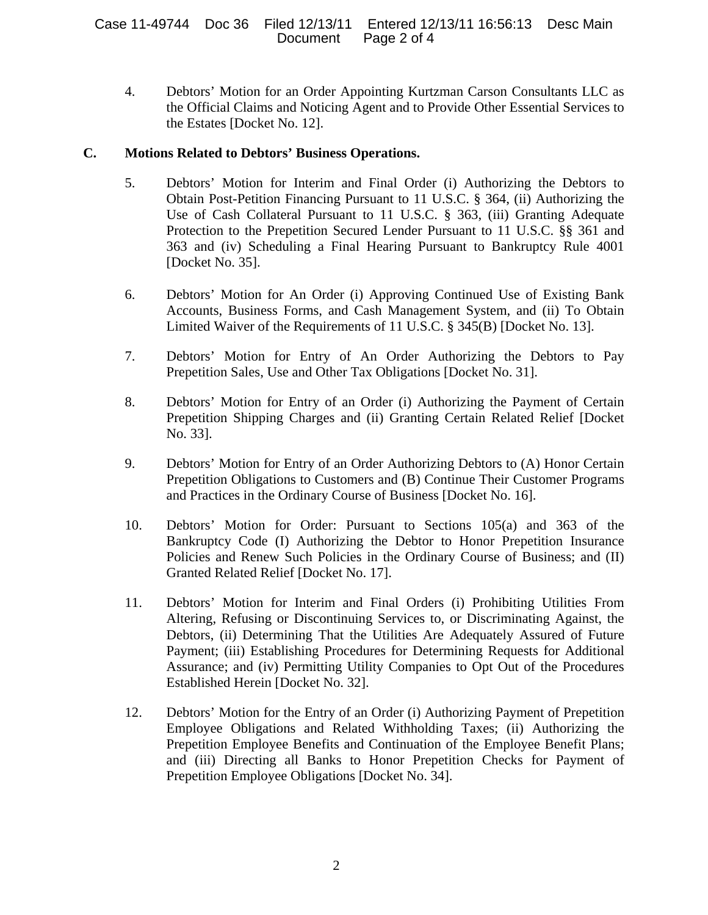4. Debtors' Motion for an Order Appointing Kurtzman Carson Consultants LLC as the Official Claims and Noticing Agent and to Provide Other Essential Services to the Estates [Docket No. 12].

# **C. Motions Related to Debtors' Business Operations.**

- 5. Debtors' Motion for Interim and Final Order (i) Authorizing the Debtors to Obtain Post-Petition Financing Pursuant to 11 U.S.C. § 364, (ii) Authorizing the Use of Cash Collateral Pursuant to 11 U.S.C. § 363, (iii) Granting Adequate Protection to the Prepetition Secured Lender Pursuant to 11 U.S.C. §§ 361 and 363 and (iv) Scheduling a Final Hearing Pursuant to Bankruptcy Rule 4001 [Docket No. 35].
- 6. Debtors' Motion for An Order (i) Approving Continued Use of Existing Bank Accounts, Business Forms, and Cash Management System, and (ii) To Obtain Limited Waiver of the Requirements of 11 U.S.C. § 345(B) [Docket No. 13].
- 7. Debtors' Motion for Entry of An Order Authorizing the Debtors to Pay Prepetition Sales, Use and Other Tax Obligations [Docket No. 31].
- 8. Debtors' Motion for Entry of an Order (i) Authorizing the Payment of Certain Prepetition Shipping Charges and (ii) Granting Certain Related Relief [Docket No. 33].
- 9. Debtors' Motion for Entry of an Order Authorizing Debtors to (A) Honor Certain Prepetition Obligations to Customers and (B) Continue Their Customer Programs and Practices in the Ordinary Course of Business [Docket No. 16].
- 10. Debtors' Motion for Order: Pursuant to Sections 105(a) and 363 of the Bankruptcy Code (I) Authorizing the Debtor to Honor Prepetition Insurance Policies and Renew Such Policies in the Ordinary Course of Business; and (II) Granted Related Relief [Docket No. 17].
- 11. Debtors' Motion for Interim and Final Orders (i) Prohibiting Utilities From Altering, Refusing or Discontinuing Services to, or Discriminating Against, the Debtors, (ii) Determining That the Utilities Are Adequately Assured of Future Payment; (iii) Establishing Procedures for Determining Requests for Additional Assurance; and (iv) Permitting Utility Companies to Opt Out of the Procedures Established Herein [Docket No. 32].
- 12. Debtors' Motion for the Entry of an Order (i) Authorizing Payment of Prepetition Employee Obligations and Related Withholding Taxes; (ii) Authorizing the Prepetition Employee Benefits and Continuation of the Employee Benefit Plans; and (iii) Directing all Banks to Honor Prepetition Checks for Payment of Prepetition Employee Obligations [Docket No. 34].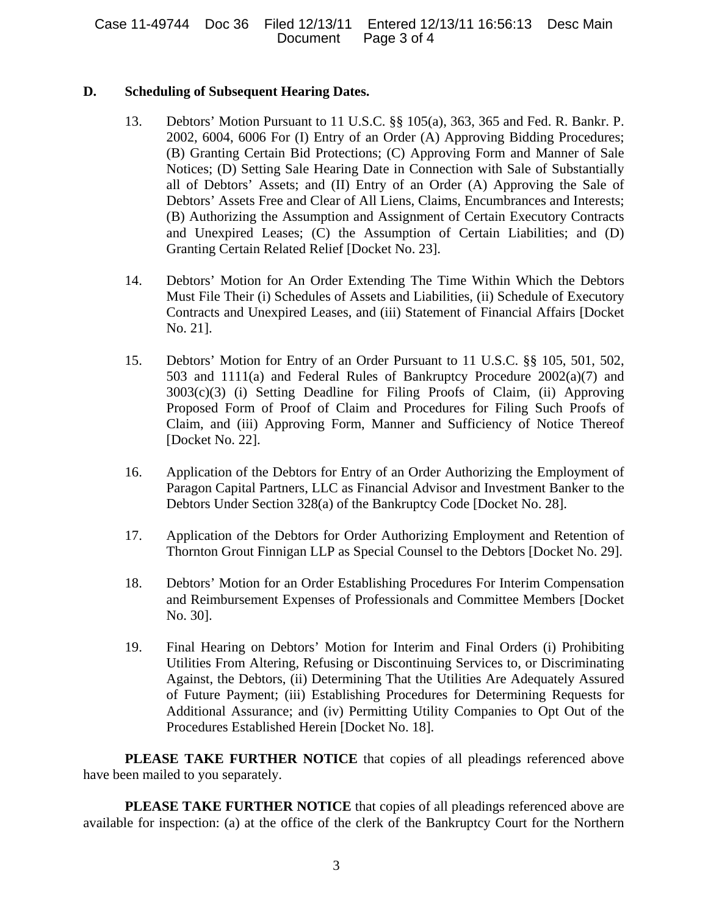# **D. Scheduling of Subsequent Hearing Dates.**

- 13. Debtors' Motion Pursuant to 11 U.S.C. §§ 105(a), 363, 365 and Fed. R. Bankr. P. 2002, 6004, 6006 For (I) Entry of an Order (A) Approving Bidding Procedures; (B) Granting Certain Bid Protections; (C) Approving Form and Manner of Sale Notices; (D) Setting Sale Hearing Date in Connection with Sale of Substantially all of Debtors' Assets; and (II) Entry of an Order (A) Approving the Sale of Debtors' Assets Free and Clear of All Liens, Claims, Encumbrances and Interests; (B) Authorizing the Assumption and Assignment of Certain Executory Contracts and Unexpired Leases; (C) the Assumption of Certain Liabilities; and (D) Granting Certain Related Relief [Docket No. 23].
- 14. Debtors' Motion for An Order Extending The Time Within Which the Debtors Must File Their (i) Schedules of Assets and Liabilities, (ii) Schedule of Executory Contracts and Unexpired Leases, and (iii) Statement of Financial Affairs [Docket No. 21].
- 15. Debtors' Motion for Entry of an Order Pursuant to 11 U.S.C. §§ 105, 501, 502, 503 and 1111(a) and Federal Rules of Bankruptcy Procedure 2002(a)(7) and 3003(c)(3) (i) Setting Deadline for Filing Proofs of Claim, (ii) Approving Proposed Form of Proof of Claim and Procedures for Filing Such Proofs of Claim, and (iii) Approving Form, Manner and Sufficiency of Notice Thereof [Docket No. 22].
- 16. Application of the Debtors for Entry of an Order Authorizing the Employment of Paragon Capital Partners, LLC as Financial Advisor and Investment Banker to the Debtors Under Section 328(a) of the Bankruptcy Code [Docket No. 28].
- 17. Application of the Debtors for Order Authorizing Employment and Retention of Thornton Grout Finnigan LLP as Special Counsel to the Debtors [Docket No. 29].
- 18. Debtors' Motion for an Order Establishing Procedures For Interim Compensation and Reimbursement Expenses of Professionals and Committee Members [Docket No. 30].
- 19. Final Hearing on Debtors' Motion for Interim and Final Orders (i) Prohibiting Utilities From Altering, Refusing or Discontinuing Services to, or Discriminating Against, the Debtors, (ii) Determining That the Utilities Are Adequately Assured of Future Payment; (iii) Establishing Procedures for Determining Requests for Additional Assurance; and (iv) Permitting Utility Companies to Opt Out of the Procedures Established Herein [Docket No. 18].

**PLEASE TAKE FURTHER NOTICE** that copies of all pleadings referenced above have been mailed to you separately.

**PLEASE TAKE FURTHER NOTICE** that copies of all pleadings referenced above are available for inspection: (a) at the office of the clerk of the Bankruptcy Court for the Northern